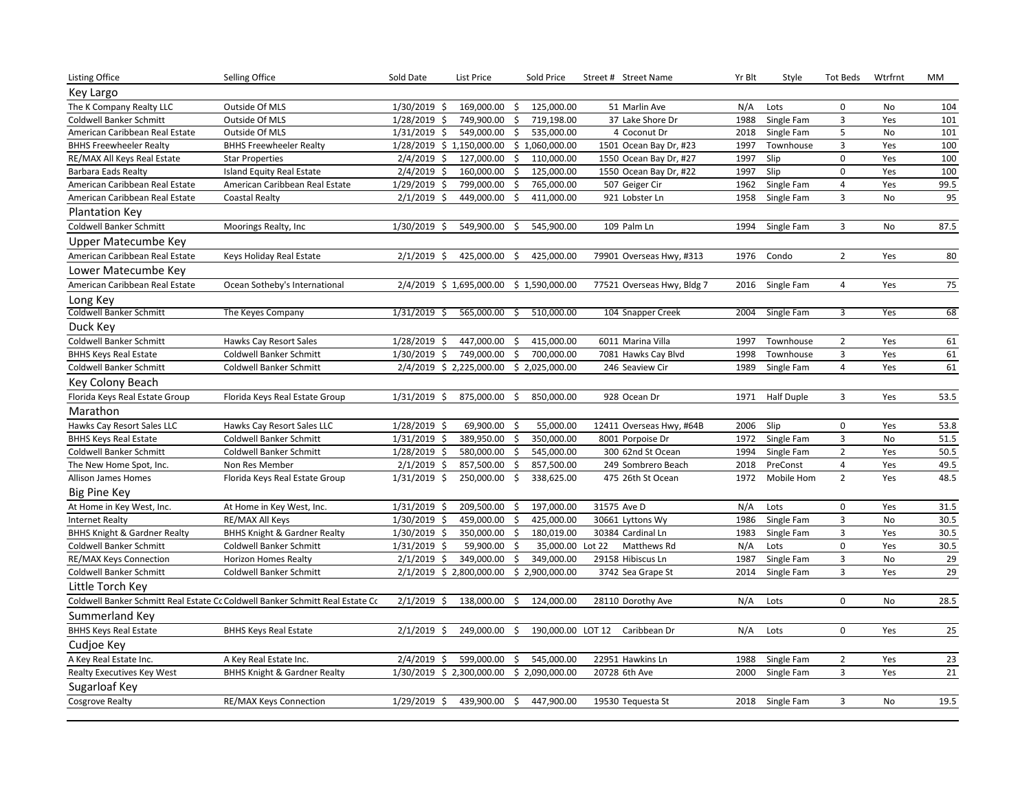| Listing Office                          | Selling Office                                                                | Sold Date       | List Price                                | Sold Price                        | Street # Street Name       | Yr Blt | Style             | <b>Tot Beds</b>         | Wtrfrnt | MM   |
|-----------------------------------------|-------------------------------------------------------------------------------|-----------------|-------------------------------------------|-----------------------------------|----------------------------|--------|-------------------|-------------------------|---------|------|
| Key Largo                               |                                                                               |                 |                                           |                                   |                            |        |                   |                         |         |      |
| The K Company Realty LLC                | Outside Of MLS                                                                | $1/30/2019$ \$  | 169,000.00                                | 125,000.00<br>-\$                 | 51 Marlin Ave              | N/A    | Lots              | 0                       | No      | 104  |
| Coldwell Banker Schmitt                 | Outside Of MLS                                                                | 1/28/2019<br>\$ | 749,900.00                                | \$<br>719,198.00                  | 37 Lake Shore Dr           | 1988   | Single Fam        | $\overline{\mathbf{3}}$ | Yes     | 101  |
| American Caribbean Real Estate          | Outside Of MLS                                                                | $1/31/2019$ \$  | 549,000.00                                | \$<br>535,000.00                  | 4 Coconut Dr               | 2018   | Single Fam        | 5                       | No      | 101  |
| <b>BHHS Freewheeler Realty</b>          | <b>BHHS Freewheeler Realty</b>                                                |                 | 1/28/2019 \$ 1,150,000.00                 | \$1,060,000.00                    | 1501 Ocean Bay Dr, #23     | 1997   | Townhouse         | $\overline{\mathbf{3}}$ | Yes     | 100  |
| RE/MAX All Keys Real Estate             | <b>Star Properties</b>                                                        | $2/4/2019$ \$   | 127,000.00                                | \$<br>110,000.00                  | 1550 Ocean Bay Dr, #27     | 1997   | Slip              | 0                       | Yes     | 100  |
| Barbara Eads Realty                     | Island Equity Real Estate                                                     | 2/4/2019<br>\$  | 160,000.00                                | \$<br>125,000.00                  | 1550 Ocean Bay Dr, #22     | 1997   | Slip              | $\mathbf 0$             | Yes     | 100  |
| American Caribbean Real Estate          | American Caribbean Real Estate                                                | 1/29/2019 \$    | 799,000.00                                | $\ddot{\mathsf{S}}$<br>765,000.00 | 507 Geiger Cir             | 1962   | Single Fam        | 4                       | Yes     | 99.5 |
| American Caribbean Real Estate          | <b>Coastal Realty</b>                                                         | $2/1/2019$ \$   | 449,000.00                                | Ś.<br>411,000.00                  | 921 Lobster Ln             | 1958   | Single Fam        | $\overline{3}$          | No      | 95   |
| <b>Plantation Key</b>                   |                                                                               |                 |                                           |                                   |                            |        |                   |                         |         |      |
| <b>Coldwell Banker Schmitt</b>          | Moorings Realty, Inc                                                          | 1/30/2019 \$    | 549,900.00                                | -\$<br>545,900.00                 | 109 Palm Ln                | 1994   | Single Fam        | 3                       | No      | 87.5 |
| Upper Matecumbe Key                     |                                                                               |                 |                                           |                                   |                            |        |                   |                         |         |      |
| American Caribbean Real Estate          | Keys Holiday Real Estate                                                      | $2/1/2019$ \$   | 425,000.00 \$                             | 425,000.00                        | 79901 Overseas Hwy, #313   | 1976   | Condo             | $\overline{2}$          | Yes     | 80   |
| Lower Matecumbe Key                     |                                                                               |                 |                                           |                                   |                            |        |                   |                         |         |      |
| American Caribbean Real Estate          | Ocean Sotheby's International                                                 |                 | 2/4/2019 \$1,695,000.00 \$1,590,000.00    |                                   | 77521 Overseas Hwy, Bldg 7 | 2016   | Single Fam        | 4                       | Yes     | 75   |
| Long Key                                |                                                                               |                 |                                           |                                   |                            |        |                   |                         |         |      |
| <b>Coldwell Banker Schmitt</b>          | The Keyes Company                                                             | $1/31/2019$ \$  | 565,000.00 \$                             | 510,000.00                        | 104 Snapper Creek          | 2004   | Single Fam        | 3                       | Yes     | 68   |
| Duck Key                                |                                                                               |                 |                                           |                                   |                            |        |                   |                         |         |      |
| Coldwell Banker Schmitt                 | Hawks Cay Resort Sales                                                        | 1/28/2019 \$    | 447,000.00                                | 415,000.00<br>\$                  | 6011 Marina Villa          | 1997   | Townhouse         | $\overline{2}$          | Yes     | 61   |
| <b>BHHS Keys Real Estate</b>            | Coldwell Banker Schmitt                                                       | 1/30/2019 \$    | 749,000.00                                | 700,000.00<br>\$                  | 7081 Hawks Cay Blvd        | 1998   | Townhouse         | 3                       | Yes     | 61   |
| Coldwell Banker Schmitt                 | Coldwell Banker Schmitt                                                       |                 | 2/4/2019 \$ 2,225,000.00 \$ 2,025,000.00  |                                   | 246 Seaview Cir            | 1989   | Single Fam        | $\overline{\mathbf{4}}$ | Yes     | 61   |
| Key Colony Beach                        |                                                                               |                 |                                           |                                   |                            |        |                   |                         |         |      |
| Florida Keys Real Estate Group          | Florida Keys Real Estate Group                                                | $1/31/2019$ \$  | 875,000.00                                | 850,000.00<br>\$.                 | 928 Ocean Dr               | 1971   | <b>Half Duple</b> | 3                       | Yes     | 53.5 |
| Marathon                                |                                                                               |                 |                                           |                                   |                            |        |                   |                         |         |      |
| Hawks Cay Resort Sales LLC              | Hawks Cay Resort Sales LLC                                                    | 1/28/2019 \$    | 69,900.00                                 | 55,000.00<br>-\$                  | 12411 Overseas Hwy, #64B   | 2006   | Slip              | 0                       | Yes     | 53.8 |
| <b>BHHS Keys Real Estate</b>            | <b>Coldwell Banker Schmitt</b>                                                | 1/31/2019<br>\$ | 389,950.00                                | \$<br>350,000.00                  | 8001 Porpoise Dr           | 1972   | Single Fam        | $\overline{3}$          | No      | 51.5 |
| Coldwell Banker Schmitt                 | <b>Coldwell Banker Schmitt</b>                                                | 1/28/2019 \$    | 580,000.00                                | 545,000.00<br>Ŝ.                  | 300 62nd St Ocean          | 1994   | Single Fam        | $\overline{2}$          | Yes     | 50.5 |
| The New Home Spot, Inc.                 | Non Res Member                                                                | 2/1/2019<br>\$  | 857,500.00                                | \$<br>857,500.00                  | 249 Sombrero Beach         | 2018   | PreConst          | $\overline{4}$          | Yes     | 49.5 |
| <b>Allison James Homes</b>              | Florida Keys Real Estate Group                                                | 1/31/2019 \$    | 250,000.00 \$                             | 338,625.00                        | 475 26th St Ocean          | 1972   | Mobile Hom        | $\overline{2}$          | Yes     | 48.5 |
| Big Pine Key                            |                                                                               |                 |                                           |                                   |                            |        |                   |                         |         |      |
| At Home in Key West, Inc.               | At Home in Key West, Inc.                                                     | 1/31/2019 \$    | 209,500.00                                | 197,000.00<br>\$.                 | 31575 Ave D                | N/A    | Lots              | 0                       | Yes     | 31.5 |
| <b>Internet Realty</b>                  | RE/MAX All Keys                                                               | 1/30/2019 \$    | 459,000.00                                | \$<br>425,000.00                  | 30661 Lyttons Wy           | 1986   | Single Fam        | 3                       | No      | 30.5 |
| <b>BHHS Knight &amp; Gardner Realty</b> | <b>BHHS Knight &amp; Gardner Realty</b>                                       | 1/30/2019 \$    | 350,000.00                                | $\ddot{\mathsf{S}}$<br>180,019.00 | 30384 Cardinal Ln          | 1983   | Single Fam        | $\overline{3}$          | Yes     | 30.5 |
| Coldwell Banker Schmitt                 | <b>Coldwell Banker Schmitt</b>                                                | 1/31/2019 \$    | 59,900.00                                 | Ś<br>35,000.00                    | Lot 22<br>Matthews Rd      | N/A    | Lots              | 0                       | Yes     | 30.5 |
| RE/MAX Keys Connection                  | <b>Horizon Homes Realty</b>                                                   | $2/1/2019$ \$   | 349,000.00                                | \$<br>349,000.00                  | 29158 Hibiscus Ln          | 1987   | Single Fam        | $\overline{\mathbf{3}}$ | No      | 29   |
| <b>Coldwell Banker Schmitt</b>          | <b>Coldwell Banker Schmitt</b>                                                |                 | 2/1/2019 \$ 2,800,000.00                  | \$2,900,000.00                    | 3742 Sea Grape St          | 2014   | Single Fam        | 3                       | Yes     | 29   |
| Little Torch Key                        |                                                                               |                 |                                           |                                   |                            |        |                   |                         |         |      |
|                                         | Coldwell Banker Schmitt Real Estate Cc Coldwell Banker Schmitt Real Estate Cc | $2/1/2019$ \$   | 138,000.00                                | 124,000.00<br>\$                  | 28110 Dorothy Ave          | N/A    | Lots              | 0                       | No      | 28.5 |
| Summerland Key                          |                                                                               |                 |                                           |                                   |                            |        |                   |                         |         |      |
| <b>BHHS Keys Real Estate</b>            | <b>BHHS Keys Real Estate</b>                                                  | $2/1/2019$ \$   | 249,000.00                                | \$<br>190,000.00 LOT 12           | Caribbean Dr               | N/A    | Lots              | $\mathbf 0$             | Yes     | 25   |
| Cudjoe Key                              |                                                                               |                 |                                           |                                   |                            |        |                   |                         |         |      |
| A Key Real Estate Inc.                  | A Key Real Estate Inc.                                                        | $2/4/2019$ \$   | 599,000.00                                | \$<br>545,000.00                  | 22951 Hawkins Ln           | 1988   | Single Fam        | $\overline{2}$          | Yes     | 23   |
| Realty Executives Key West              | <b>BHHS Knight &amp; Gardner Realty</b>                                       |                 | 1/30/2019 \$ 2,300,000.00 \$ 2,090,000.00 |                                   | 20728 6th Ave              | 2000   | Single Fam        | 3                       | Yes     | 21   |
| Sugarloaf Key                           |                                                                               |                 |                                           |                                   |                            |        |                   |                         |         |      |
| <b>Cosgrove Realty</b>                  | RE/MAX Keys Connection                                                        | 1/29/2019 \$    | 439,900.00                                | 447,900.00<br>\$                  | 19530 Tequesta St          |        | 2018 Single Fam   | 3                       | No      | 19.5 |
|                                         |                                                                               |                 |                                           |                                   |                            |        |                   |                         |         |      |